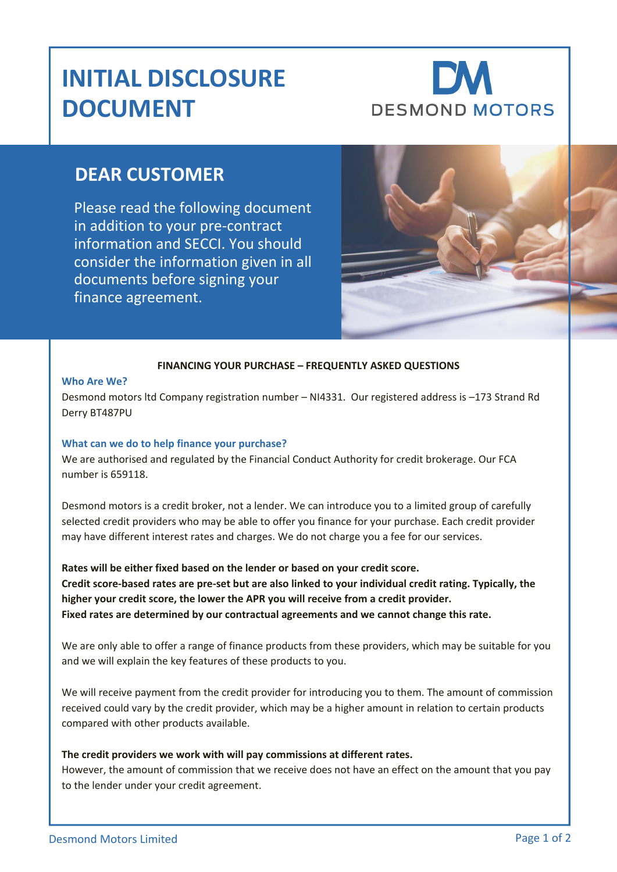## **INITIAL DISCLOSURE DOCUMENT**

# **DESMOND MOTORS**

### **DEAR CUSTOMER**

Please read the following document in addition to your pre-contract information and SECCI. You should consider the information given in all documents before signing your finance agreement.



#### **FINANCING YOUR PURCHASE – FREQUENTLY ASKED QUESTIONS**

#### **Who Are We?**

Desmond motors ltd Company registration number – NI4331. Our registered address is –173 Strand Rd Derry BT487PU

#### **What can we do to help finance your purchase?**

We are authorised and regulated by the Financial Conduct Authority for credit brokerage. Our FCA number is 659118.

Desmond motors is a credit broker, not a lender. We can introduce you to a limited group of carefully selected credit providers who may be able to offer you finance for your purchase. Each credit provider may have different interest rates and charges. We do not charge you a fee for our services.

**Rates will be either fixed based on the lender or based on your credit score. Credit score-based rates are pre-set but are also linked to your individual credit rating. Typically, the higher your credit score, the lower the APR you will receive from a credit provider. Fixed rates are determined by our contractual agreements and we cannot change this rate.**

We are only able to offer a range of finance products from these providers, which may be suitable for you and we will explain the key features of these products to you.

We will receive payment from the credit provider for introducing you to them. The amount of commission received could vary by the credit provider, which may be a higher amount in relation to certain products compared with other products available.

#### **The credit providers we work with will pay commissions at different rates.**

However, the amount of commission that we receive does not have an effect on the amount that you pay to the lender under your credit agreement.